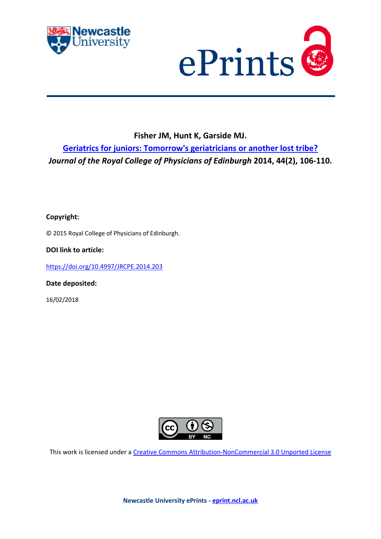



## **Fisher JM, Hunt K, Garside MJ.**

**[Geriatrics for juniors: Tomorrow's geriatricians or another lost tribe?](https://myimpact.ncl.ac.uk/ViewPublication.aspx?id=233893)** *Journal of the Royal College of Physicians of Edinburgh* **2014, 44(2), 106-110.**

**Copyright:**

© 2015 Royal College of Physicians of Edinburgh.

**DOI link to article:**

<https://doi.org/10.4997/JRCPE.2014.203>

**Date deposited:** 

16/02/2018



This work is licensed under a [Creative Commons Attribution-NonCommercial 3.0 Unported License](http://creativecommons.org/licenses/by-nc/3.0/deed.en_GB)

**Newcastle University ePrints - [eprint.ncl.ac.uk](http://eprint.ncl.ac.uk/)**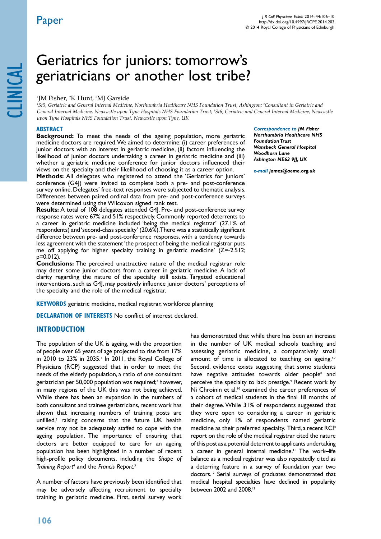# Geriatrics for juniors: tomorrow's geriatricians or another lost tribe?

## <sup>1</sup>JM Fisher, <sup>2</sup>K Hunt, <sup>3</sup>MJ Garside

*1 St5, Geriatric and General Internal Medicine, Northumbria Healthcare NHS Foundation Trust, Ashington; 2 Consultant in Geriatric and General Internal Medicine, Newcastle upon Tyne Hospitals NHS Foundation Trust; 3 St6, Geriatric and General Internal Medicine, Newcastle upon Tyne Hospitals NHS Foundation Trust, Newcastle upon Tyne, UK*

## **ABSTRACT**

**Background:** To meet the needs of the ageing population, more geriatric medicine doctors are required. We aimed to determine: (i) career preferences of junior doctors with an interest in geriatric medicine, (ii) factors influencing the likelihood of junior doctors undertaking a career in geriatric medicine and (iii) whether a geriatric medicine conference for junior doctors influenced their views on the specialty and their likelihood of choosing it as a career option.

**Methods:** All delegates who registered to attend the 'Geriatrics for Juniors' conference (G4J) were invited to complete both a pre- and post-conference survey online. Delegates' free-text responses were subjected to thematic analysis. Differences between paired ordinal data from pre- and post-conference surveys were determined using the Wilcoxon signed rank test.

**Results:** A total of 108 delegates attended G4J. Pre- and post-conference survey response rates were 67% and 51% respectively. Commonly reported deterrents to a career in geriatric medicine included 'being the medical registrar' (27.1% of respondents) and 'second-class specialty' (20.6%). There was a statistically significant difference between pre- and post-conference responses, with a tendency towards less agreement with the statement 'the prospect of being the medical registrar puts me off applying for higher specialty training in geriatric medicine' (Z=-2.512; p=0.012).

**Conclusions:** The perceived unattractive nature of the medical registrar role may deter some junior doctors from a career in geriatric medicine. A lack of clarity regarding the nature of the specialty still exists. Targeted educational interventions, such as G4J, may positively influence junior doctors' perceptions of the specialty and the role of the medical registrar.

**KEYWORDS** geriatric medicine, medical registrar, workforce planning

**DECLARATION OF INTERESTS** No conflict of interest declared.

## **INTRODUCTION**

The population of the UK is ageing, with the proportion of people over 65 years of age projected to rise from 17% in 2010 to 23% in 2035.<sup>1</sup> In 2011, the Royal College of Physicians (RCP) suggested that in order to meet the needs of the elderly population, a ratio of one consultant geriatrician per 50,000 population was required;<sup>2</sup> however, in many regions of the UK this was not being achieved. While there has been an expansion in the numbers of both consultant and trainee geriatricians, recent work has shown that increasing numbers of training posts are unfilled,<sup>3</sup> raising concerns that the future UK health service may not be adequately staffed to cope with the ageing population. The importance of ensuring that doctors are better equipped to care for an ageing population has been highlighted in a number of recent high-profile policy documents, including the *Shape of*  Training Report<sup>4</sup> and the Francis Report.<sup>5</sup>

A number of factors have previously been identified that may be adversely affecting recruitment to specialty training in geriatric medicine. First, serial survey work

#### *Correspondence to JM Fisher*

*Northumbria Healthcare NHS Foundation Trust Wansbeck General Hospital Woodhorn Lane Ashington NE63 9JJ, UK*

*e-mail james@aeme.org.uk*

has demonstrated that while there has been an increase in the number of UK medical schools teaching and assessing geriatric medicine, a comparatively small amount of time is allocated to teaching on ageing.<sup>6,7</sup> Second, evidence exists suggesting that some students have negative attitudes towards older people<sup>8</sup> and perceive the specialty to lack prestige.<sup>9</sup> Recent work by Ni Chroinin et al.<sup>10</sup> examined the career preferences of a cohort of medical students in the final 18 months of their degree. While 31% of respondents suggested that they were open to considering a career in geriatric medicine, only 1% of respondents named geriatric medicine as their preferred specialty. Third, a recent RCP report on the role of the medical registrar cited the nature of this post as a potential deterrent to applicants undertaking a career in general internal medicine.<sup>11</sup> The work-life balance as a medical registrar was also repeatedly cited as a deterring feature in a survey of foundation year two doctors.12 Serial surveys of graduates demonstrated that medical hospital specialties have declined in popularity between 2002 and 2008.13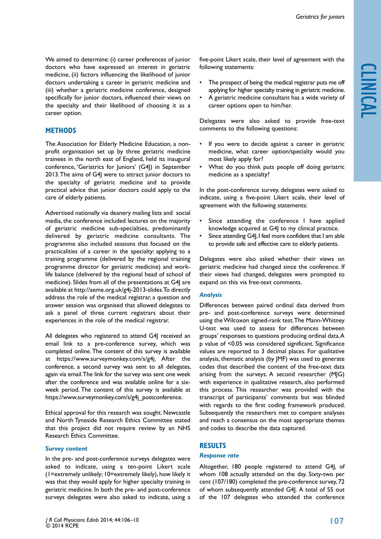We aimed to determine: (i) career preferences of junior doctors who have expressed an interest in geriatric medicine, (ii) factors influencing the likelihood of junior doctors undertaking a career in geriatric medicine and (iii) whether a geriatric medicine conference, designed specifically for junior doctors, influenced their views on the specialty and their likelihood of choosing it as a career option.

## **METHODS**

The Association for Elderly Medicine Education, a nonprofit organisation set up by three geriatric medicine trainees in the north east of England, held its inaugural conference, 'Geriatrics for Juniors' (G4J) in September 2013. The aims of G4J were to attract junior doctors to the specialty of geriatric medicine and to provide practical advice that junior doctors could apply to the care of elderly patients.

Advertised nationally via deanery mailing lists and social media, the conference included lectures on the majority of geriatric medicine sub-specialties, predominantly delivered by geriatric medicine consultants. The programme also included sessions that focused on the practicalities of a career in the specialty: applying to a training programme (delivered by the regional training programme director for geriatric medicine) and worklife balance (delivered by the regional head of school of medicine). Slides from all of the presentations at G4J are available at http://aeme.org.uk/g4j-2013-slides. To directly address the role of the medical registrar, a question and answer session was organised that allowed delegates to ask a panel of three current registrars about their experiences in the role of the medical registrar.

All delegates who registered to attend G4J received an email link to a pre-conference survey, which was completed online. The content of this survey is available at https://www.surveymonkey.com/s/g4j. After the conference, a second survey was sent to all delegates, again via email. The link for the survey was sent one week after the conference and was available online for a sixweek period. The content of this survey is available at https://www.surveymonkey.com/s/g4j\_postconference.

Ethical approval for this research was sought. Newcastle and North Tyneside Research Ethics Committee stated that this project did not require review by an NHS Research Ethics Committee.

## *Survey content*

In the pre- and post-conference surveys delegates were asked to indicate, using a ten-point Likert scale (1=extremely unlikely; 10=extremely likely), how likely it was that they would apply for higher specialty training in geriatric medicine. In both the pre- and post-conference surveys delegates were also asked to indicate, using a

five-point Likert scale, their level of agreement with the following statements:

- The prospect of being the medical registrar puts me off applying for higher specialty training in geriatric medicine.
- A geriatric medicine consultant has a wide variety of career options open to him/her.

Delegates were also asked to provide free-text comments to the following questions:

- If you were to decide against a career in geriatric medicine, what career option/specialty would you most likely apply for?
- What do you think puts people off doing geriatric medicine as a specialty?

In the post-conference survey, delegates were asked to indicate, using a five-point Likert scale, their level of agreement with the following statements:

- • Since attending the conference I have applied knowledge acquired at G4J to my clinical practice.
- Since attending G4J, I feel more confident that I am able to provide safe and effective care to elderly patients.

Delegates were also asked whether their views on geriatric medicine had changed since the conference. If their views had changed, delegates were prompted to expand on this via free-text comments.

## *Analysis*

Differences between paired ordinal data derived from pre- and post-conference surveys were determined using the Wilcoxon signed-rank test. The Mann-Whitney U-test was used to assess for differences between groups' responses to questions producing ordinal data. A p value of <0.05 was considered significant. Significance values are reported to 3 decimal places. For qualitative analysis, thematic analysis (by JMF) was used to generate codes that described the content of the free-text data arising from the surveys. A second researcher (MJG) with experience in qualitative research, also performed this process. This researcher was provided with the transcript of participants' comments but was blinded with regards to the first coding framework produced. Subsequently the researchers met to compare analyses and reach a consensus on the most appropriate themes and codes to describe the data captured.

## **RESULTS**

#### *Response rate*

Altogether, 180 people registered to attend G4J, of whom 108 actually attended on the day. Sixty-two per cent (107/180) completed the pre-conference survey, 72 of whom subsequently attended G4J. A total of 55 out of the 107 delegates who attended the conference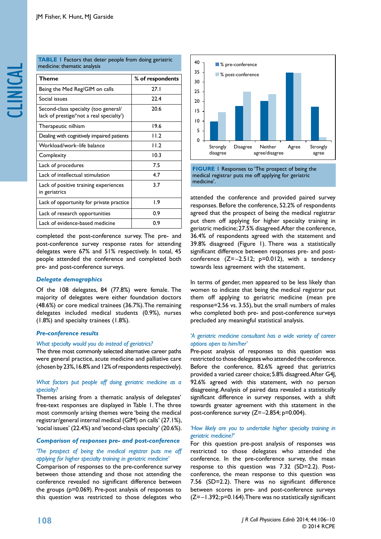| <b>TABLE I</b> Factors that deter people from doing geriatric |  |  |
|---------------------------------------------------------------|--|--|
| medicine: thematic analysis                                   |  |  |

| Theme                                                                            | % of respondents |
|----------------------------------------------------------------------------------|------------------|
| Being the Med Reg/GIM on calls                                                   | 27.1             |
| Social issues                                                                    | 22.4             |
| Second-class specialty (too general/<br>lack of prestige/'not a real specialty') | 20.6             |
| Therapeutic nilhism                                                              | 19.6             |
| Dealing with cognitively impaired patients                                       | 11.2             |
| Workload/work–life balance                                                       | 11.2             |
| Complexity                                                                       | 10.3             |
| Lack of procedures                                                               | 7.5              |
| Lack of intellectual stimulation                                                 | 4.7              |
| Lack of positive training experiences<br>in geriatrics                           | 3.7              |
| Lack of opportunity for private practice                                         | $\overline{1.9}$ |
| Lack of research opportunities                                                   | 0.9              |
| Lack of evidence-based medicine                                                  | 0.9              |

completed the post-conference survey. The pre- and post-conference survey response rates for attending delegates were 67% and 51% respectively. In total, 45 people attended the conference and completed both pre- and post-conference surveys.

## *Delegate demographics*

Of the 108 delegates, 84 (77.8%) were female. The majority of delegates were either foundation doctors (48.6%) or core medical trainees (36.7%). The remaining delegates included medical students (0.9%), nurses (1.8%) and specialty trainees (1.8%).

#### *Pre-conference results*

#### *What specialty would you do instead of geriatrics?*

The three most commonly selected alternative career paths were general practice, acute medicine and palliative care (chosen by 23%, 16.8% and 12% of respondents respectively).

## *What factors put people off doing geriatric medicine as a specialty?*

Themes arising from a thematic analysis of delegates' free-text responses are displayed in Table 1. The three most commonly arising themes were 'being the medical registrar/general internal medical (GIM) on calls' (27.1%), 'social issues' (22.4%) and 'second-class specialty' (20.6%).

## *Comparison of responses pre- and post-conference*

## *'The prospect of being the medical registrar puts me off applying for higher specialty training in geriatric medicine'*

Comparison of responses to the pre-conference survey between those attending and those not attending the conference revealed no significant difference between the groups (p=0.069). Pre-post analysis of responses to this question was restricted to those delegates who



**FIGURE 1** Responses to 'The prospect of being the medical registrar puts me off applying for geriatric medicine'.

attended the conference and provided paired survey responses. Before the conference, 52.2% of respondents agreed that the prospect of being the medical registrar put them off applying for higher specialty training in geriatric medicine; 27.5% disagreed. After the conference, 36.4% of respondents agreed with the statement and 39.8% disagreed (Figure 1). There was a statistically significant difference between responses pre- and postconference  $(Z=-2.512; p=0.012)$ , with a tendency towards less agreement with the statement.

In terms of gender, men appeared to be less likely than women to indicate that being the medical registrar put them off applying to geriatric medicine (mean pre response=2.56 vs. 3.55), but the small numbers of males who completed both pre- and post-conference surveys precluded any meaningful statistical analysis.

## *'A geriatric medicine consultant has a wide variety of career options open to him/her'*

Pre-post analysis of responses to this question was restricted to those delegates who attended the conference. Before the conference, 82.6% agreed that geriatrics provided a varied career choice; 5.8% disagreed. After G4J, 92.6% agreed with this statement, with no person disagreeing. Analysis of paired data revealed a statistically significant difference in survey responses, with a shift towards greater agreement with this statement in the post-conference survey (Z=–2.854; p=0.004).

## *'How likely are you to undertake higher specialty training in geriatric medicine?'*

For this question pre-post analysis of responses was restricted to those delegates who attended the conference. In the pre-conference survey, the mean response to this question was 7.32 (SD=2.2). Postconference, the mean response to this question was 7.56 (SD=2.2). There was no significant difference between scores in pre- and post-conference surveys  $(Z=-1.392; p=0.164)$ . There was no statistically significant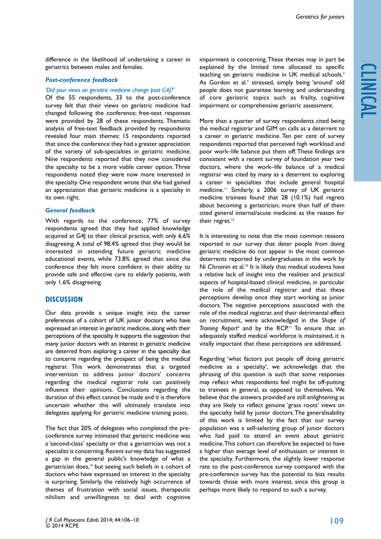clinical

difference in the likelihood of undertaking a career in geriatrics between males and females.

#### *Post-conference feedback*

#### *'Did your views on geriatric medicine change post G4J?'*

Of the 55 respondents, 33 to the post-conference survey felt that their views on geriatric medicine had changed following the conference; free-text responses were provided by 28 of these respondents. Thematic analysis of free-text feedback provided by respondents revealed four main themes: 15 respondents reported that since the conference they had a greater appreciation of the variety of sub-specialties in geriatric medicine. Nine respondents reported that they now considered the specialty to be a more viable career option. Three respondents noted they were now more interested in the specialty. One respondent wrote that she had gained an appreciation that geriatric medicine is a specialty in its own right.

#### *General feedback*

With regards to the conference, 77% of survey respondents agreed that they had applied knowledge acquired at G4| to their clinical practice, with only 6.6% disagreeing. A total of 98.4% agreed that they would be interested in attending future geriatric medicine educational events, while 73.8% agreed that since the conference they felt more confident in their ability to provide safe and effective care to elderly patients, with only 1.6% disagreeing.

#### **DISCUSSION**

Our data provide a unique insight into the career preferences of a cohort of UK junior doctors who have expressed an interest in geriatric medicine, along with their perceptions of the specialty. It supports the suggestion that many junior doctors with an interest in geriatric medicine are deterred from exploring a career in the specialty due to concerns regarding the prospect of being the medical registrar. This work demonstrates that a targeted intervention to address junior doctors' concerns regarding the medical registrar role can positively influence their opinions. Conclusions regarding the duration of this effect cannot be made and it is therefore uncertain whether this will ultimately translate into delegates applying for geriatric medicine training posts.

The fact that 20% of delegates who completed the preconference survey intimated that geriatric medicine was a 'second-class' specialty or that a geriatrician was not a specialist is concerning. Recent survey data has suggested a gap in the general public's knowledge of what a geriatrician does,<sup>14</sup> but seeing such beliefs in a cohort of doctors who have expressed an interest in the specialty is surprising. Similarly, the relatively high occurrence of themes of frustration with social issues, therapeutic nihilism and unwillingness to deal with cognitive

impairment is concerning. These themes may in part be explained by the limited time allocated to specific teaching on geriatric medicine in UK medical schools.7 As Gordon et al.<sup>7</sup> stressed, simply being 'around' old people does not guarantee learning and understanding of core geriatric topics such as frailty, cognitive impairment or comprehensive geriatric assessment.

More than a quarter of survey respondents cited being the medical registrar and GIM on calls as a deterrent to a career in geriatric medicine. Ten per cent of survey respondents reported that perceived high workload and poor work–life balance put them off. These findings are consistent with a recent survey of foundation year two doctors, where the work–life balance of a medical registrar was cited by many as a deterrent to exploring a career in specialties that include general hospital medicine.<sup>11</sup> Similarly, a 2006 survey of UK geriatric medicine trainees found that 28 (10.1%) had regrets about becoming a geriatrician; more than half of them cited general internal/acute medicine as the reason for their regret.<sup>14</sup>

It is interesting to note that the most common reasons reported in our survey that deter people from doing geriatric medicine do not appear in the most common deterrents reported by undergraduates in the work by Ni Chroinin et al.<sup>10</sup> It is likely that medical students have a relative lack of insight into the realities and practical aspects of hospital-based clinical medicine, in particular the role of the medical registrar and that these perceptions develop once they start working as junior doctors. The negative perceptions associated with the role of the medical registrar, and their detrimental effect on recruitment, were acknowledged in the *Shape of*  Training Report<sup>4</sup> and by the RCP.<sup>11</sup> To ensure that an adequately staffed medical workforce is maintained, it is vitally important that these perceptions are addressed.

Regarding 'what factors put people off doing geriatric medicine as a specialty', we acknowledge that the phrasing of this question is such that some responses may reflect what respondents feel might be off-putting to trainees in general, as opposed to themselves. We believe that the answers provided are still enlightening as they are likely to reflect genuine 'grass roots' views on the specialty held by junior doctors. The generalisability of this work is limited by the fact that our survey population was a self-selecting group of junior doctors who had paid to attend an event about geriatric medicine. This cohort can therefore be expected to have a higher than average level of enthusiasm or interest in the specialty. Furthermore, the slightly lower response rate to the post-conference survey compared with the pre-conference survey has the potential to bias results towards those with more interest, since this group is perhaps more likely to respond to such a survey.